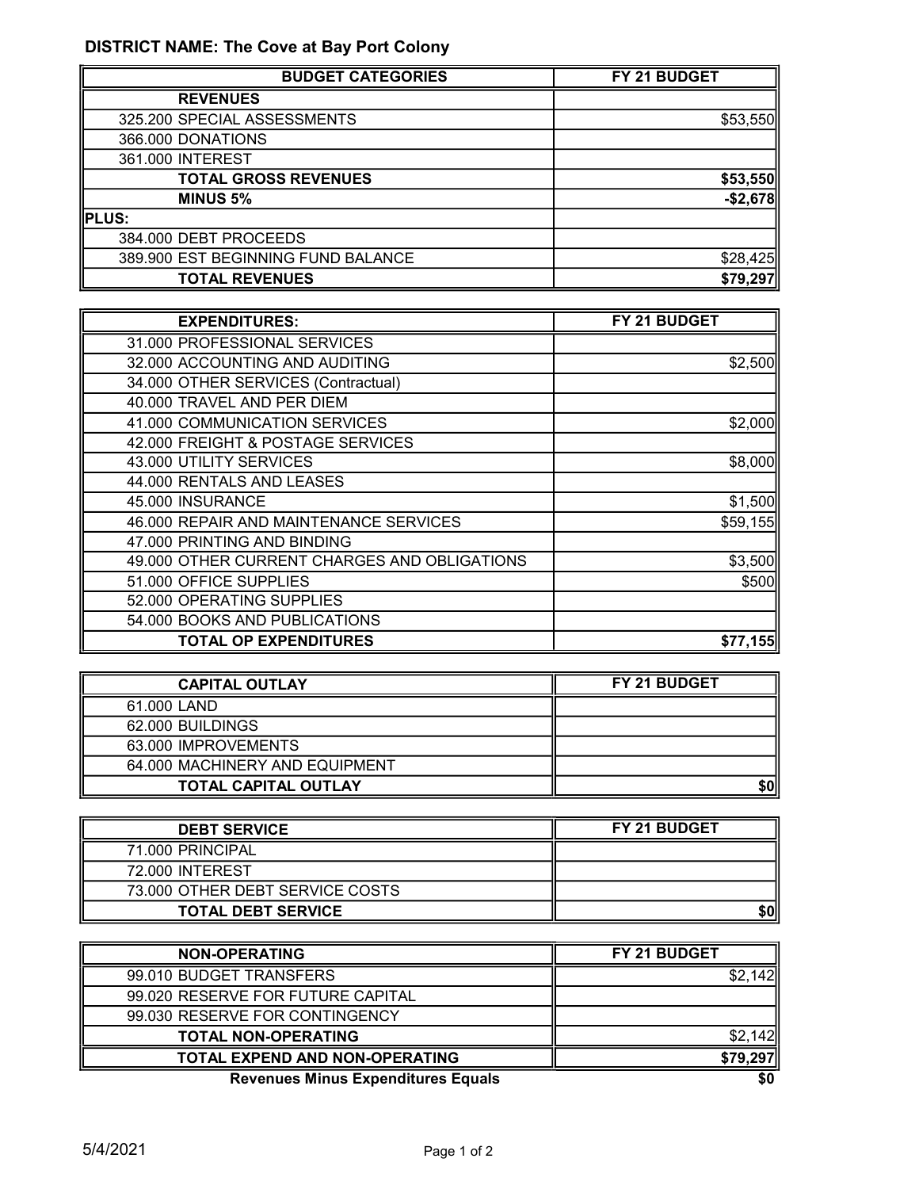## DISTRICT NAME: The Cove at Bay Port Colony

| <b>BUDGET CATEGORIES</b>           | FY 21 BUDGET |
|------------------------------------|--------------|
| <b>REVENUES</b>                    |              |
| 325.200 SPECIAL ASSESSMENTS        | \$53,550     |
| 366.000 DONATIONS                  |              |
| 361.000 INTEREST                   |              |
| <b>TOTAL GROSS REVENUES</b>        | \$53,550     |
| <b>MINUS 5%</b>                    | $-$2,678$    |
| PLUS:                              |              |
| 384.000 DEBT PROCEEDS              |              |
| 389.900 EST BEGINNING FUND BALANCE | \$28,425     |
| <b>TOTAL REVENUES</b>              | \$79,297     |

| <b>EXPENDITURES:</b>                         | FY 21 BUDGET |
|----------------------------------------------|--------------|
| 31.000 PROFESSIONAL SERVICES                 |              |
| 32.000 ACCOUNTING AND AUDITING               | \$2,500      |
| 34.000 OTHER SERVICES (Contractual)          |              |
| 40.000 TRAVEL AND PER DIEM                   |              |
| 41.000 COMMUNICATION SERVICES                | \$2,000      |
| 42.000 FREIGHT & POSTAGE SERVICES            |              |
| 43.000 UTILITY SERVICES                      | \$8,000      |
| 44.000 RENTALS AND LEASES                    |              |
| 45.000 INSURANCE                             | \$1,500      |
| 46.000 REPAIR AND MAINTENANCE SERVICES       | \$59,155     |
| 47.000 PRINTING AND BINDING                  |              |
| 49.000 OTHER CURRENT CHARGES AND OBLIGATIONS | \$3,500      |
| 51.000 OFFICE SUPPLIES                       | \$500        |
| 52.000 OPERATING SUPPLIES                    |              |
| 54.000 BOOKS AND PUBLICATIONS                |              |
| <b>TOTAL OP EXPENDITURES</b>                 | \$77,155     |

| <b>CAPITAL OUTLAY</b>          | <b>FY 21 BUDGET</b> |
|--------------------------------|---------------------|
| 61,000 LAND                    |                     |
| 62,000 BUILDINGS               |                     |
| 63.000 IMPROVEMENTS            |                     |
| 64,000 MACHINERY AND EQUIPMENT |                     |
| <b>TOTAL CAPITAL OUTLAY</b>    |                     |

| <b>DEBT SERVICE</b>             | <b>FY 21 BUDGET</b> |
|---------------------------------|---------------------|
| 71.000 PRINCIPAL                |                     |
| 72.000 INTEREST                 |                     |
| 73.000 OTHER DEBT SERVICE COSTS |                     |
| <b>TOTAL DEBT SERVICE</b>       | \$0                 |

| <b>NON-OPERATING</b>                      | FY 21 BUDGET |
|-------------------------------------------|--------------|
| 99.010 BUDGET TRANSFERS                   |              |
| 99.020 RESERVE FOR FUTURE CAPITAL         |              |
| 99.030 RESERVE FOR CONTINGENCY            |              |
| <b>TOTAL NON-OPERATING</b>                |              |
| <b>TOTAL EXPEND AND NON-OPERATING</b>     | \$79,297     |
| <b>Revenues Minus Expenditures Equals</b> | \$0          |